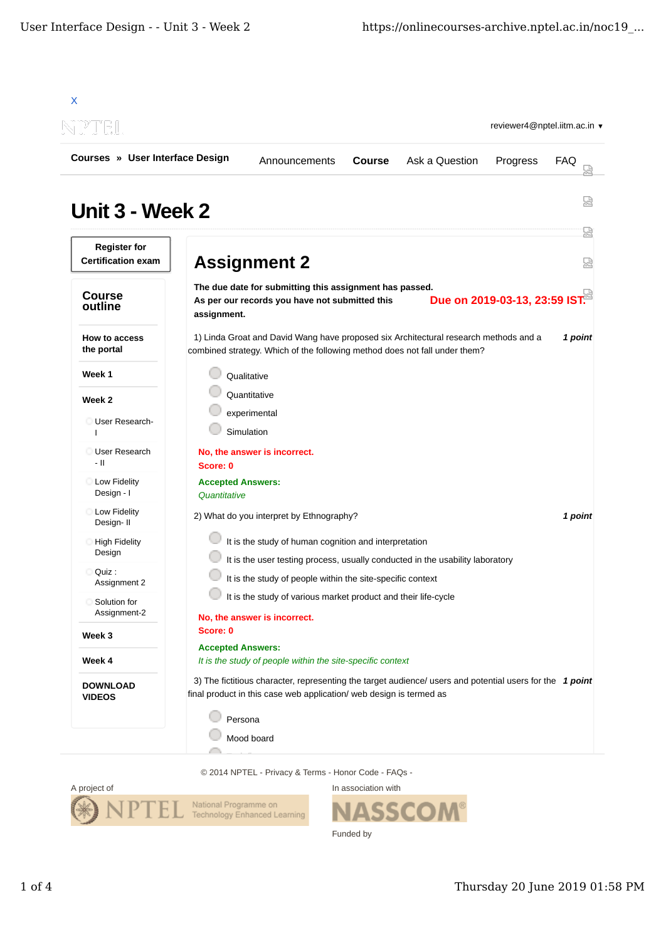

© 2014 NPTEL - Privacy & Terms - Honor Code - FAQs -



In association with SI. Funded by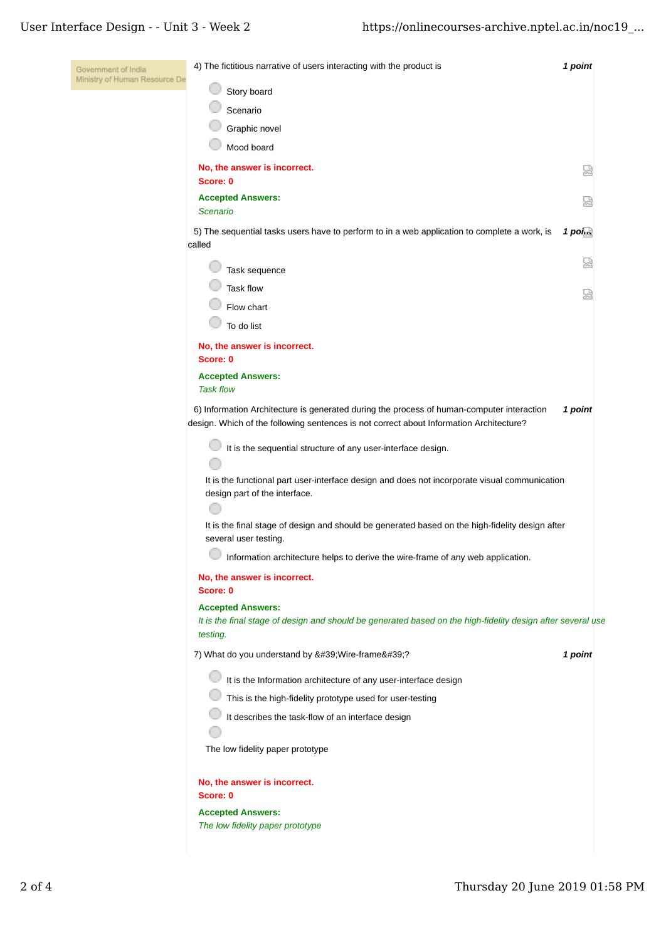| Government of India           | 4) The fictitious narrative of users interacting with the product is                                                                                                                 | 1 point   |
|-------------------------------|--------------------------------------------------------------------------------------------------------------------------------------------------------------------------------------|-----------|
| Ministry of Human Resource De | Story board                                                                                                                                                                          |           |
|                               | Scenario                                                                                                                                                                             |           |
|                               | Graphic novel                                                                                                                                                                        |           |
|                               | Mood board                                                                                                                                                                           |           |
|                               | No, the answer is incorrect.<br>Score: 0                                                                                                                                             | 덣         |
|                               | <b>Accepted Answers:</b><br><b>Scenario</b>                                                                                                                                          |           |
|                               | 5) The sequential tasks users have to perform to in a web application to complete a work, is<br>called                                                                               | $1$ point |
|                               | Task sequence                                                                                                                                                                        | 넓         |
|                               | <b>Task flow</b>                                                                                                                                                                     |           |
|                               | Flow chart                                                                                                                                                                           |           |
|                               | To do list                                                                                                                                                                           |           |
|                               | No, the answer is incorrect.                                                                                                                                                         |           |
|                               | Score: 0                                                                                                                                                                             |           |
|                               | <b>Accepted Answers:</b><br><b>Task flow</b>                                                                                                                                         |           |
|                               | 6) Information Architecture is generated during the process of human-computer interaction<br>design. Which of the following sentences is not correct about Information Architecture? | 1 point   |
|                               | It is the sequential structure of any user-interface design.                                                                                                                         |           |
|                               | It is the functional part user-interface design and does not incorporate visual communication<br>design part of the interface.                                                       |           |
|                               | It is the final stage of design and should be generated based on the high-fidelity design after<br>several user testing.                                                             |           |
|                               | Information architecture helps to derive the wire-frame of any web application.                                                                                                      |           |
|                               | No, the answer is incorrect.<br>Score: 0                                                                                                                                             |           |
|                               | <b>Accepted Answers:</b><br>It is the final stage of design and should be generated based on the high-fidelity design after several use<br>testing.                                  |           |
|                               | 7) What do you understand by ' Wire-frame '?                                                                                                                                         | 1 point   |
|                               | It is the Information architecture of any user-interface design                                                                                                                      |           |
|                               | This is the high-fidelity prototype used for user-testing                                                                                                                            |           |
|                               | It describes the task-flow of an interface design                                                                                                                                    |           |
|                               |                                                                                                                                                                                      |           |
|                               | The low fidelity paper prototype                                                                                                                                                     |           |
|                               | No, the answer is incorrect.<br>Score: 0                                                                                                                                             |           |
|                               | <b>Accepted Answers:</b>                                                                                                                                                             |           |
|                               | The low fidelity paper prototype                                                                                                                                                     |           |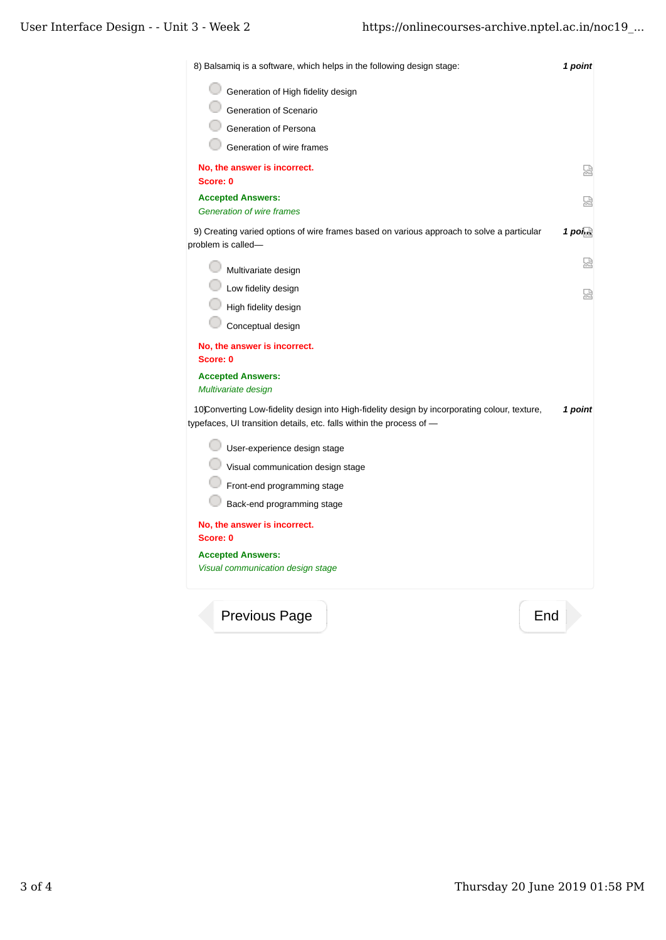| Generation of High fidelity design<br>Generation of Scenario<br>Generation of Persona<br>Generation of wire frames<br>No, the answer is incorrect.<br>Score: 0       |                       |
|----------------------------------------------------------------------------------------------------------------------------------------------------------------------|-----------------------|
|                                                                                                                                                                      |                       |
|                                                                                                                                                                      |                       |
|                                                                                                                                                                      |                       |
|                                                                                                                                                                      |                       |
|                                                                                                                                                                      | 얺                     |
| <b>Accepted Answers:</b><br><b>Generation of wire frames</b>                                                                                                         | 났                     |
| 9) Creating varied options of wire frames based on various approach to solve a particular<br>problem is called-                                                      | $1$ pol <sub>ko</sub> |
| Multivariate design                                                                                                                                                  | 썮                     |
| Low fidelity design                                                                                                                                                  | ₩                     |
| High fidelity design                                                                                                                                                 |                       |
| Conceptual design                                                                                                                                                    |                       |
| No, the answer is incorrect.<br>Score: 0                                                                                                                             |                       |
| <b>Accepted Answers:</b><br>Multivariate design                                                                                                                      |                       |
| 10Converting Low-fidelity design into High-fidelity design by incorporating colour, texture,<br>typefaces, UI transition details, etc. falls within the process of - | 1 point               |
| User-experience design stage                                                                                                                                         |                       |
| Visual communication design stage                                                                                                                                    |                       |
| Front-end programming stage                                                                                                                                          |                       |
| Back-end programming stage                                                                                                                                           |                       |
| No, the answer is incorrect.<br>Score: 0                                                                                                                             |                       |
| <b>Accepted Answers:</b>                                                                                                                                             |                       |
| Visual communication design stage                                                                                                                                    |                       |